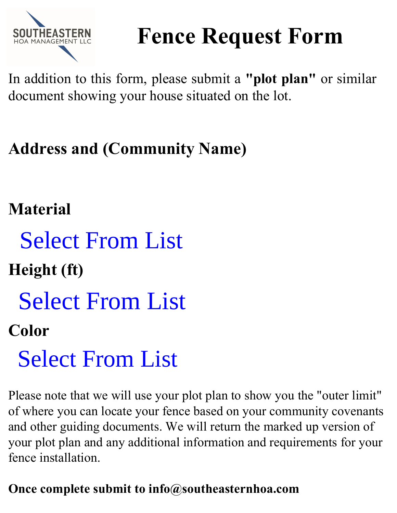

# **Fence Request Form**

In addition to this form, please submit a **"plot plan"** or similar document showing your house situated on the lot.

## **Address and (Community Name)**

## **Material**

**Height (ft)**

### **Color**

Please note that we will use your plot plan to show you the "outer limit" of where you can locate your fence based on your community covenants and other guiding documents. We will return the marked up version of your plot plan and any additional information and requirements for your fence installation. **Select From List**<br> **Color**<br> **Select From List**<br> **Color**<br> **Select From List**<br>
Please note that we will use your plot plan to show you of<br>
of where you can locate your fence based on your comm<br>
and other guiding documents.